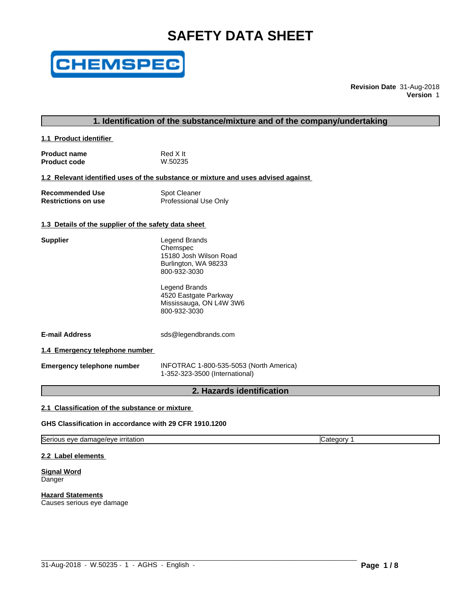# **SAFETY DATA SHEET**



**Revision Date** 31-Aug-2018 **Version** 1

# **1. Identification of the substance/mixture and of the company/undertaking**

**1.1 Product identifier** 

| <b>Product name</b> | Red X It |
|---------------------|----------|
| <b>Product code</b> | W.50235  |

**1.2 Relevant identified uses of the substance or mixture and uses advised against**

| <b>Recommended Use</b>     | <b>Spot Cleaner</b>   |
|----------------------------|-----------------------|
| <b>Restrictions on use</b> | Professional Use Only |

# **1.3 Details of the supplier of the safety data sheet**

| Supplier | Legend Brands<br>Chemspec<br>15180 Josh Wilson Road<br>Burlington, WA 98233<br>800-932-3030 |  |
|----------|---------------------------------------------------------------------------------------------|--|
|          | Legend Brands<br>4520 Eastgate Parkway<br>Mississauga, ON L4W 3W6<br>800-932-3030           |  |

**E-mail Address** sds@legendbrands.com

**1.4 Emergency telephone number**

**Emergency telephone number** INFOTRAC 1-800-535-5053 (North America) 1-352-323-3500 (International)

 $\_$  ,  $\_$  ,  $\_$  ,  $\_$  ,  $\_$  ,  $\_$  ,  $\_$  ,  $\_$  ,  $\_$  ,  $\_$  ,  $\_$  ,  $\_$  ,  $\_$  ,  $\_$  ,  $\_$  ,  $\_$  ,  $\_$  ,  $\_$  ,  $\_$  ,  $\_$  ,  $\_$  ,  $\_$  ,  $\_$  ,  $\_$  ,  $\_$  ,  $\_$  ,  $\_$  ,  $\_$  ,  $\_$  ,  $\_$  ,  $\_$  ,  $\_$  ,  $\_$  ,  $\_$  ,  $\_$  ,  $\_$  ,  $\_$  ,

# **2. Hazards identification**

# **2.1 Classification of the substance or mixture**

**GHS Classification in accordance with 29 CFR 1910.1200**

Serious eye damage/eye irritation Category 1

**2.2 Label elements**

**Signal Word** Danger

**Hazard Statements** Causes serious eye damage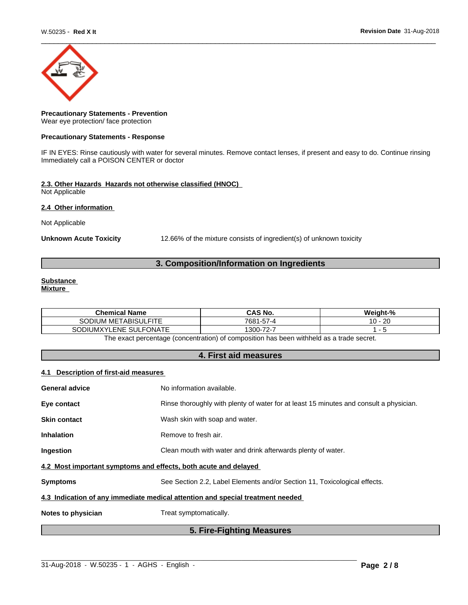

# **Precautionary Statements - Prevention** Wear eye protection/ face protection

#### **Precautionary Statements - Response**

IF IN EYES: Rinse cautiously with water for several minutes. Remove contact lenses, if present and easy to do. Continue rinsing Immediately call a POISON CENTER or doctor

# **2.3. Other Hazards Hazards not otherwise classified (HNOC)**

Not Applicable

# **2.4 Other information**

Not Applicable

Unknown Acute Toxicity **12.66%** of the mixture consists of ingredient(s) of unknown toxicity

# **3. Composition/Information on Ingredients**

# **Substance**

**Mixture**

| <b>Chemical Name</b>                                      | <b>CAS No.</b>                              | <br>Weiaht-%       |  |  |
|-----------------------------------------------------------|---------------------------------------------|--------------------|--|--|
| I METABISULFITE<br><b>SODIUM</b>                          | 7681-57-4                                   | $\sim$<br>-40<br>v |  |  |
| <b>SULFONATE</b><br><b>UMXY'</b><br>SODIL<br><b>'LENE</b> | $\overline{\phantom{a}}$<br>$300 -$<br>72 - |                    |  |  |
|                                                           |                                             |                    |  |  |

The exact percentage (concentration) of composition has been withheld as a trade secret.

# **4. First aid measures**

# **4.1 Description of first-aid measures**

| <b>General advice</b>                                           | No information available.                                                              |
|-----------------------------------------------------------------|----------------------------------------------------------------------------------------|
| Eye contact                                                     | Rinse thoroughly with plenty of water for at least 15 minutes and consult a physician. |
| <b>Skin contact</b>                                             | Wash skin with soap and water.                                                         |
| <b>Inhalation</b>                                               | Remove to fresh air.                                                                   |
| Ingestion                                                       | Clean mouth with water and drink afterwards plenty of water.                           |
| 4.2 Most important symptoms and effects, both acute and delayed |                                                                                        |
| <b>Symptoms</b>                                                 | See Section 2.2, Label Elements and/or Section 11, Toxicological effects.              |
|                                                                 | 4.3 Indication of any immediate medical attention and special treatment needed         |
| Notes to physician                                              | Treat symptomatically.                                                                 |
|                                                                 | 5. Fire-Fighting Measures                                                              |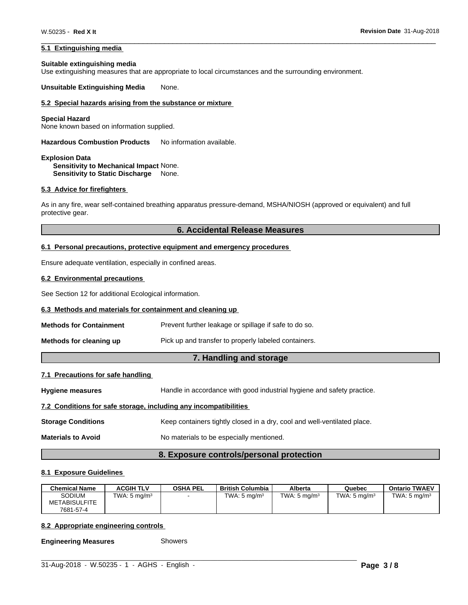# **5.1 Extinguishing media**

#### **Suitable extinguishing media**

Use extinguishing measures that are appropriate to local circumstances and the surrounding environment.

**Unsuitable Extinguishing Media** None.

# **5.2 Special hazards arising from the substance or mixture**

#### **Special Hazard**

None known based on information supplied.

**Hazardous Combustion Products** No information available.

**Explosion Data Sensitivity to Mechanical Impact** None. **Sensitivity to Static Discharge** None.

#### **5.3 Advice for firefighters**

As in any fire, wear self-contained breathing apparatus pressure-demand, MSHA/NIOSH (approved or equivalent) and full protective gear.

# **6. Accidental Release Measures**

#### **6.1 Personal precautions, protective equipment and emergency procedures**

Ensure adequate ventilation, especially in confined areas.

#### **6.2 Environmental precautions**

See Section 12 for additional Ecological information.

#### **6.3 Methods and materials for containment and cleaning up**

| Prevent further leakage or spillage if safe to do so.<br><b>Methods for Containment</b> |  |
|-----------------------------------------------------------------------------------------|--|
|-----------------------------------------------------------------------------------------|--|

**Methods for cleaning up** Pick up and transfer to properly labeled containers.

# **7. Handling and storage**

# **7.1 Precautions for safe handling**

**Hygiene measures** Handle in accordance with good industrial hygiene and safety practice.

#### **7.2 Conditions for safe storage, including any incompatibilities**

**Storage Conditions** Keep containers tightly closed in a dry, cool and well-ventilated place.

**Materials to Avoid** No materials to be especially mentioned.

# **8. Exposure controls/personal protection**

#### **8.1 Exposure Guidelines**

| <b>Chemical Name</b> | <b>ACGIH TLV</b>        | <b>OSHA PEL</b> | British Columbia        | Alberta                 | Quebec                  | <b>Ontario TWAEV</b>    |
|----------------------|-------------------------|-----------------|-------------------------|-------------------------|-------------------------|-------------------------|
| Sodium               | TWA: $5 \text{ mg/m}^3$ |                 | TWA: $5 \text{ ma/m}^3$ | TWA: $5 \text{ ma/m}^3$ | TWA: $5 \text{ ma/m}^3$ | TWA: $5 \text{ ma/m}^3$ |
| <b>METABISULFITE</b> |                         |                 |                         |                         |                         |                         |
| 7681-57-4            |                         |                 |                         |                         |                         |                         |

 $\_$  ,  $\_$  ,  $\_$  ,  $\_$  ,  $\_$  ,  $\_$  ,  $\_$  ,  $\_$  ,  $\_$  ,  $\_$  ,  $\_$  ,  $\_$  ,  $\_$  ,  $\_$  ,  $\_$  ,  $\_$  ,  $\_$  ,  $\_$  ,  $\_$  ,  $\_$  ,  $\_$  ,  $\_$  ,  $\_$  ,  $\_$  ,  $\_$  ,  $\_$  ,  $\_$  ,  $\_$  ,  $\_$  ,  $\_$  ,  $\_$  ,  $\_$  ,  $\_$  ,  $\_$  ,  $\_$  ,  $\_$  ,  $\_$  ,

# **8.2 Appropriate engineering controls**

**Engineering Measures** Showers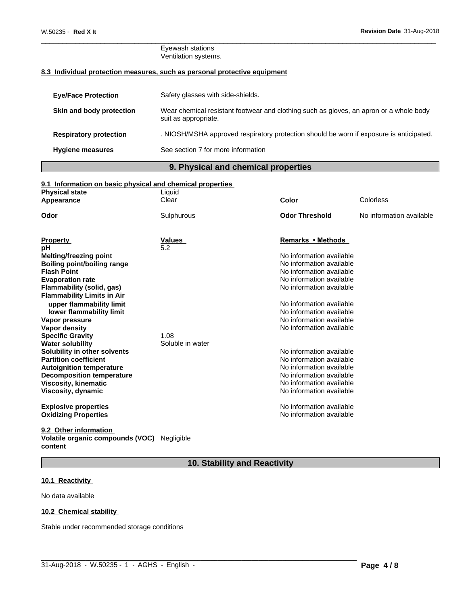#### Eyewash stations Ventilation systems.

# **8.3 Individual protection measures, such as personal protective equipment**

| <b>Eye/Face Protection</b>    | Safety glasses with side-shields.                                                                              |
|-------------------------------|----------------------------------------------------------------------------------------------------------------|
| Skin and body protection      | Wear chemical resistant footwear and clothing such as gloves, an apron or a whole body<br>suit as appropriate. |
| <b>Respiratory protection</b> | . NIOSH/MSHA approved respiratory protection should be worn if exposure is anticipated.                        |
| <b>Hygiene measures</b>       | See section 7 for more information                                                                             |
|                               |                                                                                                                |

# **9. Physical and chemical properties**

# **9.1 Information on basic physical and chemical properties**

| <b>Physical state</b>                                    | Liquid           |                          |                          |
|----------------------------------------------------------|------------------|--------------------------|--------------------------|
| Appearance                                               | Clear            | Color                    | Colorless                |
| Odor                                                     | Sulphurous       | <b>Odor Threshold</b>    | No information available |
|                                                          |                  |                          |                          |
| <b>Property</b>                                          | Values           | Remarks • Methods        |                          |
| рH                                                       | 5.2              | No information available |                          |
| Melting/freezing point                                   |                  | No information available |                          |
| <b>Boiling point/boiling range</b><br><b>Flash Point</b> |                  | No information available |                          |
| <b>Evaporation rate</b>                                  |                  | No information available |                          |
| <b>Flammability (solid, gas)</b>                         |                  | No information available |                          |
| <b>Flammability Limits in Air</b>                        |                  |                          |                          |
| upper flammability limit                                 |                  | No information available |                          |
| lower flammability limit                                 |                  | No information available |                          |
| Vapor pressure                                           |                  | No information available |                          |
| Vapor density                                            |                  | No information available |                          |
| <b>Specific Gravity</b>                                  | 1.08             |                          |                          |
| <b>Water solubility</b>                                  | Soluble in water |                          |                          |
| Solubility in other solvents                             |                  | No information available |                          |
| <b>Partition coefficient</b>                             |                  | No information available |                          |
| <b>Autoignition temperature</b>                          |                  | No information available |                          |
| <b>Decomposition temperature</b>                         |                  | No information available |                          |
| <b>Viscosity, kinematic</b>                              |                  | No information available |                          |
| <b>Viscosity, dynamic</b>                                |                  | No information available |                          |
| <b>Explosive properties</b>                              |                  | No information available |                          |
| <b>Oxidizing Properties</b>                              |                  | No information available |                          |
|                                                          |                  |                          |                          |

#### **9.2 Other information**

#### **Volatile organic compounds (VOC)** Negligible **content**

# **10. Stability and Reactivity**

 $\_$  ,  $\_$  ,  $\_$  ,  $\_$  ,  $\_$  ,  $\_$  ,  $\_$  ,  $\_$  ,  $\_$  ,  $\_$  ,  $\_$  ,  $\_$  ,  $\_$  ,  $\_$  ,  $\_$  ,  $\_$  ,  $\_$  ,  $\_$  ,  $\_$  ,  $\_$  ,  $\_$  ,  $\_$  ,  $\_$  ,  $\_$  ,  $\_$  ,  $\_$  ,  $\_$  ,  $\_$  ,  $\_$  ,  $\_$  ,  $\_$  ,  $\_$  ,  $\_$  ,  $\_$  ,  $\_$  ,  $\_$  ,  $\_$  ,

# **10.1 Reactivity**

No data available

# **10.2 Chemical stability**

Stable under recommended storage conditions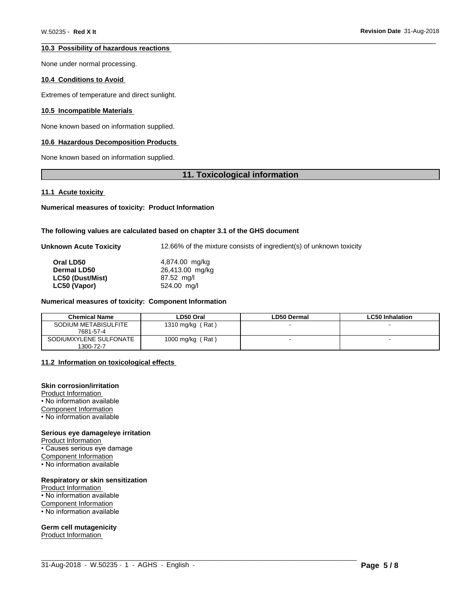# **10.3 Possibility of hazardous reactions**

None under normal processing.

# **10.4 Conditions to Avoid**

Extremes of temperature and direct sunlight.

# **10.5 Incompatible Materials**

None known based on information supplied.

# **10.6 Hazardous Decomposition Products**

None known based on information supplied.

# **11. Toxicological information**

#### **11.1 Acute toxicity**

**Numerical measures of toxicity: Product Information**

### **The following values are calculated based on chapter 3.1 of the GHS document**

| Unknown Acute Toxicity | 12.66% of the mixture consists of ingredient(s) of unknown toxicity |
|------------------------|---------------------------------------------------------------------|
|                        |                                                                     |

| Oral LD50               | 4,874.00 mg/kg  |  |
|-------------------------|-----------------|--|
| <b>Dermal LD50</b>      | 26,413.00 mg/kg |  |
| <b>LC50 (Dust/Mist)</b> | 87.52 mg/l      |  |
| LC50 (Vapor)            | 524.00 mg/l     |  |

#### **Numerical measures of toxicity: Component Information**

| <b>Chemical Name</b>   | ∟D50 Oral        | <b>LD50 Dermal</b> | <b>LC50 Inhalation</b> |
|------------------------|------------------|--------------------|------------------------|
| SODIUM METABISULFITE   | 1310 mg/kg (Rat) |                    |                        |
| 7681-57-4              |                  |                    |                        |
| SODIUMXYLENE SULFONATE | 1000 mg/kg (Rat) |                    |                        |
| 1300-72-7              |                  |                    |                        |

 $\_$  ,  $\_$  ,  $\_$  ,  $\_$  ,  $\_$  ,  $\_$  ,  $\_$  ,  $\_$  ,  $\_$  ,  $\_$  ,  $\_$  ,  $\_$  ,  $\_$  ,  $\_$  ,  $\_$  ,  $\_$  ,  $\_$  ,  $\_$  ,  $\_$  ,  $\_$  ,  $\_$  ,  $\_$  ,  $\_$  ,  $\_$  ,  $\_$  ,  $\_$  ,  $\_$  ,  $\_$  ,  $\_$  ,  $\_$  ,  $\_$  ,  $\_$  ,  $\_$  ,  $\_$  ,  $\_$  ,  $\_$  ,  $\_$  ,

# **11.2 Information on toxicologicaleffects**

#### **Skin corrosion/irritation**

Product Information • No information available Component Information • No information available

#### **Serious eye damage/eye irritation**

Product Information • Causes serious eye damage Component Information

• No information available

#### **Respiratory or skin sensitization**

Product Information • No information available

Component Information

• No information available

#### **Germ cell mutagenicity**

Product Information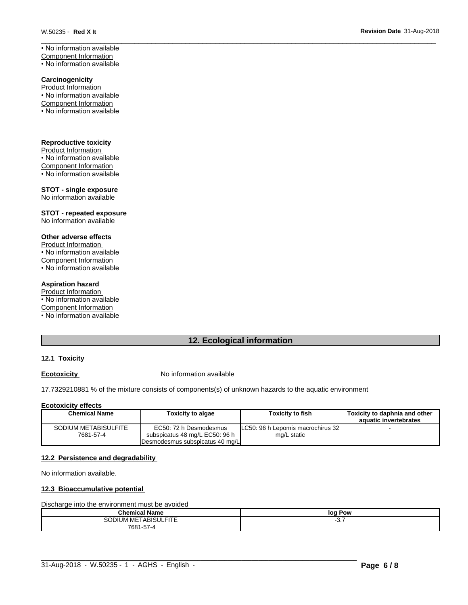• No information available Component Information • No information available

**Carcinogenicity**

Product Information • No information available Component Information • No information available

**Reproductive toxicity** Product Information • No information available Component Information • No information available

**STOT - single exposure** No information available

**STOT - repeated exposure** No information available

# **Other adverse effects**

Product Information • No information available Component Information • No information available

#### **Aspiration hazard**

Product Information • No information available Component Information • No information available

# **12. Ecological information**

# **12.1 Toxicity**

# **Ecotoxicity No information available**

17.7329210881 % of the mixture consists of components(s) of unknown hazards to the aquatic environment

#### **Ecotoxicity effects**

| <b>Chemical Name</b><br>Toxicity to algae |                                 | <b>Toxicity to fish</b>            | Toxicity to daphnia and other |
|-------------------------------------------|---------------------------------|------------------------------------|-------------------------------|
|                                           |                                 |                                    | aquatic invertebrates         |
| SODIUM METABISULFITE                      | EC50: 72 h Desmodesmus          | ILC50: 96 h Lepomis macrochirus 32 |                               |
| 7681-57-4                                 | subspicatus 48 mg/L EC50: 96 h  | mg/L static                        |                               |
|                                           | Desmodesmus subspicatus 40 mg/L |                                    |                               |

# **12.2 Persistence and degradability**

No information available.

# **12.3 Bioaccumulative potential**

Discharge into the environment must be avoided

| <b>Chemical Name</b>             | log Pow |
|----------------------------------|---------|
| <b>1 METABISULFITE</b><br>SODIUM | ິ.      |
| 7681-57-4                        |         |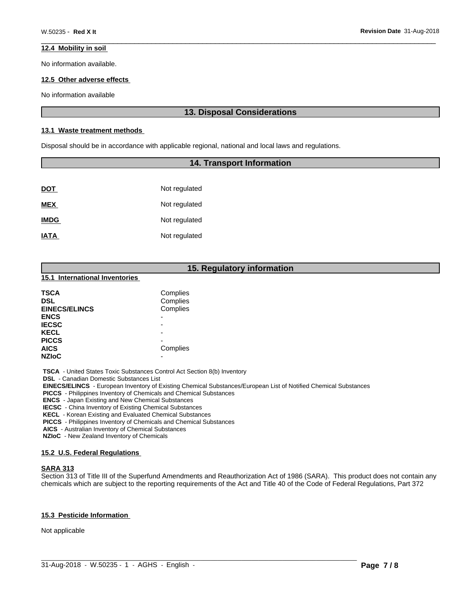# **12.4 Mobility in soil**

No information available.

# **12.5 Other adverse effects**

No information available

# **13. Disposal Considerations**

# **13.1 Waste treatment methods**

Disposal should be in accordance with applicable regional, national and local laws and regulations.

# **14. Transport Information**

| <u>DOT</u>  | Not regulated |
|-------------|---------------|
| <b>MEX</b>  | Not regulated |
| <b>IMDG</b> | Not regulated |
| <b>IATA</b> | Not regulated |

# **15. Regulatory information**

#### **15.1 International Inventories**

| <b>TSCA</b><br><b>DSL</b><br><b>EINECS/ELINCS</b> | Complies<br>Complies<br>Complies |
|---------------------------------------------------|----------------------------------|
| <b>ENCS</b>                                       | -                                |
| <b>IECSC</b>                                      | -                                |
| <b>KECL</b>                                       |                                  |
| <b>PICCS</b>                                      | -                                |
| <b>AICS</b>                                       | Complies                         |
| <b>NZIoC</b>                                      | -                                |

 **TSCA** - United States Toxic Substances Control Act Section 8(b) Inventory

 **DSL** - Canadian Domestic Substances List

 **EINECS/ELINCS** - European Inventory of Existing Chemical Substances/European List of Notified Chemical Substances

 **PICCS** - Philippines Inventory of Chemicals and Chemical Substances

 **ENCS** - Japan Existing and New Chemical Substances

 **IECSC** - China Inventory of Existing Chemical Substances

 **KECL** - Korean Existing and Evaluated Chemical Substances

 **PICCS** - Philippines Inventory of Chemicals and Chemical Substances

 **AICS** - Australian Inventory of Chemical Substances

 **NZIoC** - New Zealand Inventory of Chemicals

#### **15.2 U.S. Federal Regulations**

# **SARA 313**

Section 313 of Title III of the Superfund Amendments and Reauthorization Act of 1986 (SARA). This product does not contain any chemicals which are subject to the reporting requirements of the Act and Title 40 of the Code of Federal Regulations, Part 372

# **15.3 Pesticide Information**

Not applicable